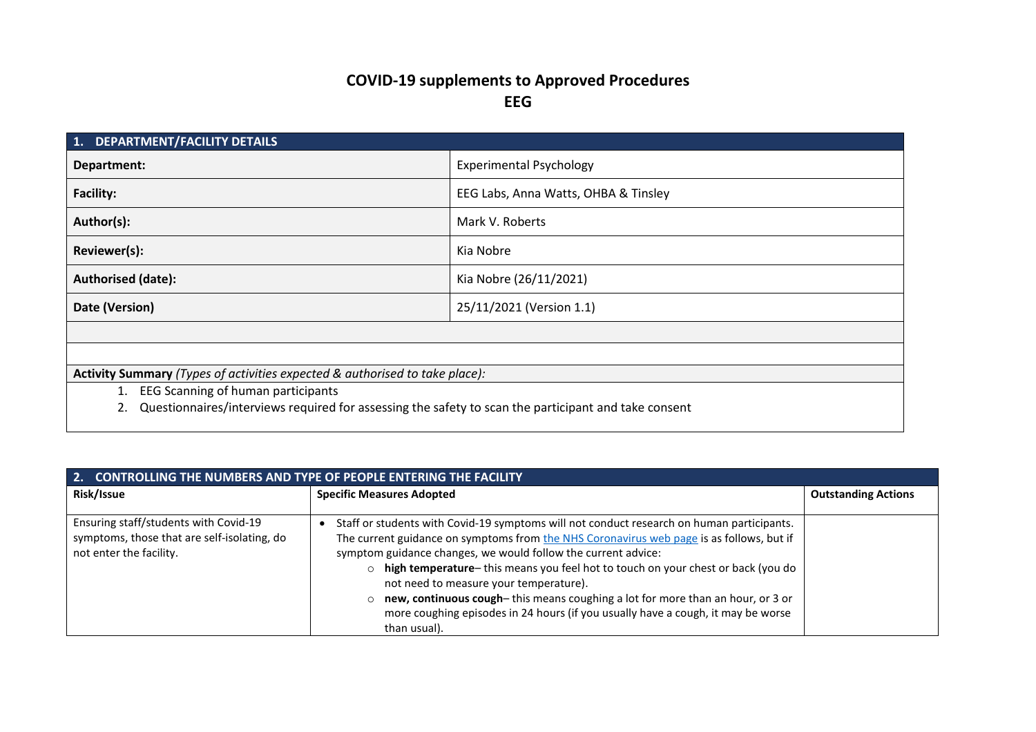## **COVID-19 supplements to Approved Procedures EEG**

| 1. DEPARTMENT/FACILITY DETAILS                                                                       |                                      |  |
|------------------------------------------------------------------------------------------------------|--------------------------------------|--|
| Department:                                                                                          | <b>Experimental Psychology</b>       |  |
| <b>Facility:</b>                                                                                     | EEG Labs, Anna Watts, OHBA & Tinsley |  |
| Author(s):                                                                                           | Mark V. Roberts                      |  |
| Reviewer(s):                                                                                         | Kia Nobre                            |  |
| <b>Authorised (date):</b>                                                                            | Kia Nobre (26/11/2021)               |  |
| Date (Version)                                                                                       | 25/11/2021 (Version 1.1)             |  |
|                                                                                                      |                                      |  |
|                                                                                                      |                                      |  |
| Activity Summary (Types of activities expected & authorised to take place):                          |                                      |  |
| EEG Scanning of human participants<br>1.                                                             |                                      |  |
| Questionnaires/interviews required for assessing the safety to scan the participant and take consent |                                      |  |
|                                                                                                      |                                      |  |

| 2. CONTROLLING THE NUMBERS AND TYPE OF PEOPLE ENTERING THE FACILITY                                             |                                                                                                                                                                                                                                                                                                                                                                                                                                                                                                                                                                                      |                            |
|-----------------------------------------------------------------------------------------------------------------|--------------------------------------------------------------------------------------------------------------------------------------------------------------------------------------------------------------------------------------------------------------------------------------------------------------------------------------------------------------------------------------------------------------------------------------------------------------------------------------------------------------------------------------------------------------------------------------|----------------------------|
| Risk/Issue                                                                                                      | <b>Specific Measures Adopted</b>                                                                                                                                                                                                                                                                                                                                                                                                                                                                                                                                                     | <b>Outstanding Actions</b> |
| Ensuring staff/students with Covid-19<br>symptoms, those that are self-isolating, do<br>not enter the facility. | Staff or students with Covid-19 symptoms will not conduct research on human participants.<br>The current guidance on symptoms from the NHS Coronavirus web page is as follows, but if<br>symptom guidance changes, we would follow the current advice:<br>o high temperature- this means you feel hot to touch on your chest or back (you do<br>not need to measure your temperature).<br>$\circ$ new, continuous cough-this means coughing a lot for more than an hour, or 3 or<br>more coughing episodes in 24 hours (if you usually have a cough, it may be worse<br>than usual). |                            |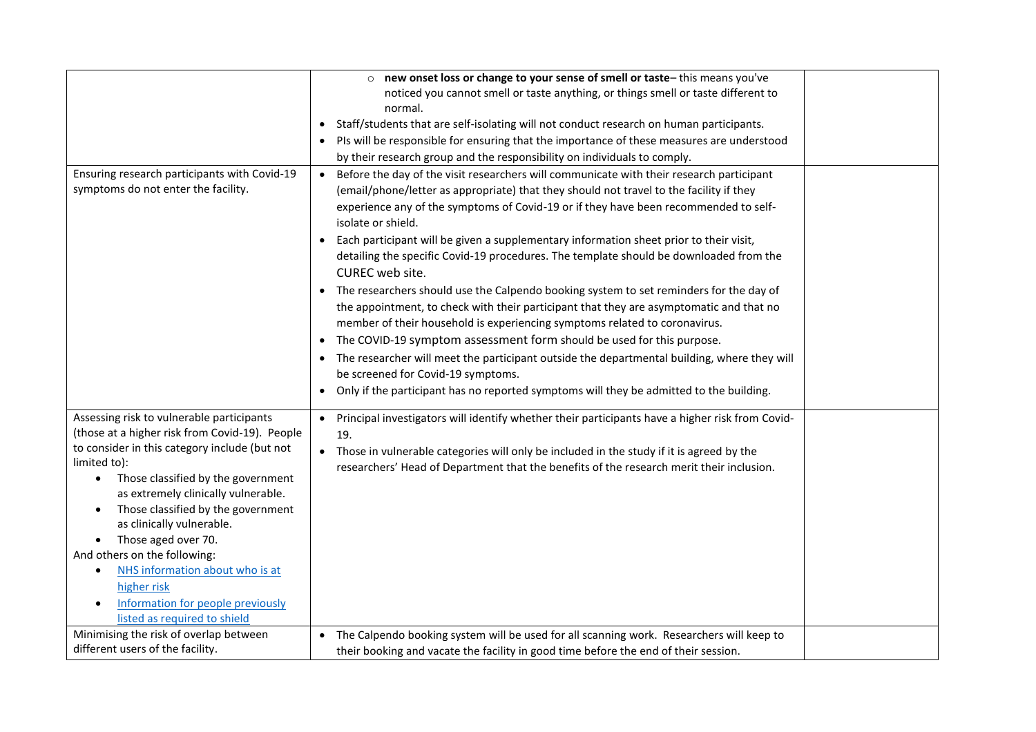|                                                                                                                                                                                                                                                                                                                                                                                                                                                                                                                                                | o new onset loss or change to your sense of smell or taste-this means you've                                                                                                                                                                                                                                                                                                                                                                                                                                                                                                                                                                                                                                                                                                                                                                                                                                                                                                                                                                                                                              |  |
|------------------------------------------------------------------------------------------------------------------------------------------------------------------------------------------------------------------------------------------------------------------------------------------------------------------------------------------------------------------------------------------------------------------------------------------------------------------------------------------------------------------------------------------------|-----------------------------------------------------------------------------------------------------------------------------------------------------------------------------------------------------------------------------------------------------------------------------------------------------------------------------------------------------------------------------------------------------------------------------------------------------------------------------------------------------------------------------------------------------------------------------------------------------------------------------------------------------------------------------------------------------------------------------------------------------------------------------------------------------------------------------------------------------------------------------------------------------------------------------------------------------------------------------------------------------------------------------------------------------------------------------------------------------------|--|
|                                                                                                                                                                                                                                                                                                                                                                                                                                                                                                                                                | noticed you cannot smell or taste anything, or things smell or taste different to                                                                                                                                                                                                                                                                                                                                                                                                                                                                                                                                                                                                                                                                                                                                                                                                                                                                                                                                                                                                                         |  |
|                                                                                                                                                                                                                                                                                                                                                                                                                                                                                                                                                | normal.                                                                                                                                                                                                                                                                                                                                                                                                                                                                                                                                                                                                                                                                                                                                                                                                                                                                                                                                                                                                                                                                                                   |  |
|                                                                                                                                                                                                                                                                                                                                                                                                                                                                                                                                                | • Staff/students that are self-isolating will not conduct research on human participants.                                                                                                                                                                                                                                                                                                                                                                                                                                                                                                                                                                                                                                                                                                                                                                                                                                                                                                                                                                                                                 |  |
|                                                                                                                                                                                                                                                                                                                                                                                                                                                                                                                                                | • Pls will be responsible for ensuring that the importance of these measures are understood                                                                                                                                                                                                                                                                                                                                                                                                                                                                                                                                                                                                                                                                                                                                                                                                                                                                                                                                                                                                               |  |
|                                                                                                                                                                                                                                                                                                                                                                                                                                                                                                                                                | by their research group and the responsibility on individuals to comply.                                                                                                                                                                                                                                                                                                                                                                                                                                                                                                                                                                                                                                                                                                                                                                                                                                                                                                                                                                                                                                  |  |
| Ensuring research participants with Covid-19<br>symptoms do not enter the facility.                                                                                                                                                                                                                                                                                                                                                                                                                                                            | Before the day of the visit researchers will communicate with their research participant<br>$\bullet$<br>(email/phone/letter as appropriate) that they should not travel to the facility if they<br>experience any of the symptoms of Covid-19 or if they have been recommended to self-<br>isolate or shield.<br>Each participant will be given a supplementary information sheet prior to their visit,<br>detailing the specific Covid-19 procedures. The template should be downloaded from the<br>CUREC web site.<br>• The researchers should use the Calpendo booking system to set reminders for the day of<br>the appointment, to check with their participant that they are asymptomatic and that no<br>member of their household is experiencing symptoms related to coronavirus.<br>• The COVID-19 symptom assessment form should be used for this purpose.<br>• The researcher will meet the participant outside the departmental building, where they will<br>be screened for Covid-19 symptoms.<br>• Only if the participant has no reported symptoms will they be admitted to the building. |  |
|                                                                                                                                                                                                                                                                                                                                                                                                                                                                                                                                                |                                                                                                                                                                                                                                                                                                                                                                                                                                                                                                                                                                                                                                                                                                                                                                                                                                                                                                                                                                                                                                                                                                           |  |
| Assessing risk to vulnerable participants<br>(those at a higher risk from Covid-19). People<br>to consider in this category include (but not<br>limited to):<br>Those classified by the government<br>$\bullet$<br>as extremely clinically vulnerable.<br>Those classified by the government<br>$\bullet$<br>as clinically vulnerable.<br>Those aged over 70.<br>$\bullet$<br>And others on the following:<br>NHS information about who is at<br>higher risk<br>Information for people previously<br>$\bullet$<br>listed as required to shield | • Principal investigators will identify whether their participants have a higher risk from Covid-<br>19.<br>• Those in vulnerable categories will only be included in the study if it is agreed by the<br>researchers' Head of Department that the benefits of the research merit their inclusion.                                                                                                                                                                                                                                                                                                                                                                                                                                                                                                                                                                                                                                                                                                                                                                                                        |  |
| Minimising the risk of overlap between                                                                                                                                                                                                                                                                                                                                                                                                                                                                                                         | • The Calpendo booking system will be used for all scanning work. Researchers will keep to                                                                                                                                                                                                                                                                                                                                                                                                                                                                                                                                                                                                                                                                                                                                                                                                                                                                                                                                                                                                                |  |
| different users of the facility.                                                                                                                                                                                                                                                                                                                                                                                                                                                                                                               | their booking and vacate the facility in good time before the end of their session.                                                                                                                                                                                                                                                                                                                                                                                                                                                                                                                                                                                                                                                                                                                                                                                                                                                                                                                                                                                                                       |  |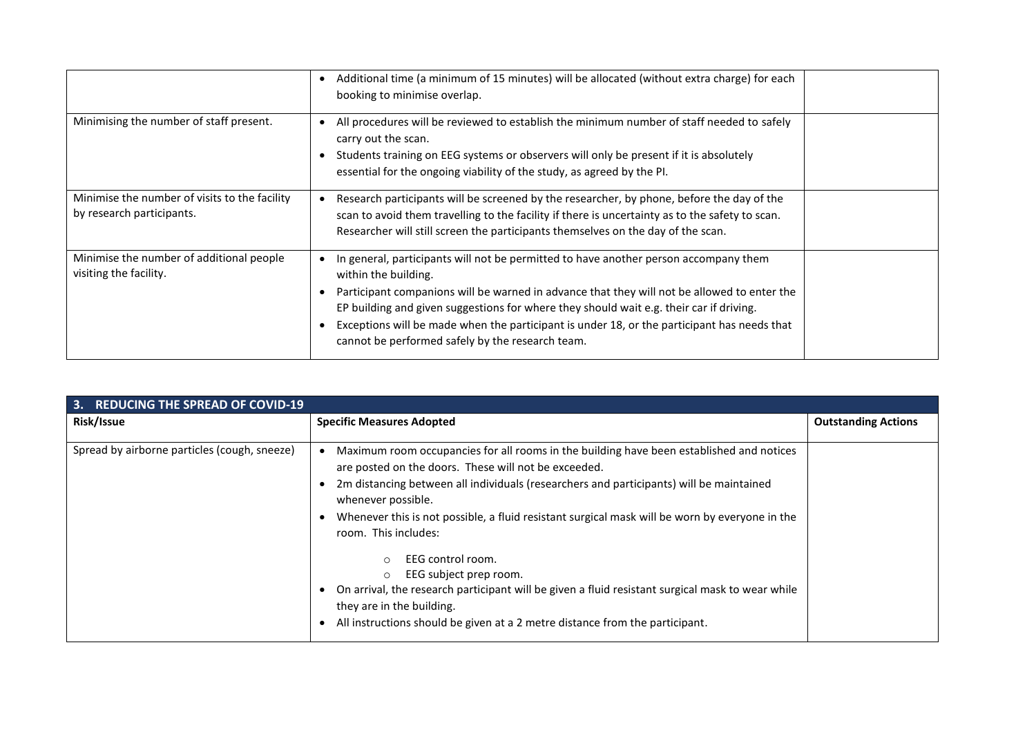|                                                                            | Additional time (a minimum of 15 minutes) will be allocated (without extra charge) for each<br>booking to minimise overlap.                                                                                                                                                                                                                                                                                                                               |  |
|----------------------------------------------------------------------------|-----------------------------------------------------------------------------------------------------------------------------------------------------------------------------------------------------------------------------------------------------------------------------------------------------------------------------------------------------------------------------------------------------------------------------------------------------------|--|
| Minimising the number of staff present.                                    | All procedures will be reviewed to establish the minimum number of staff needed to safely<br>carry out the scan.<br>• Students training on EEG systems or observers will only be present if it is absolutely<br>essential for the ongoing viability of the study, as agreed by the PI.                                                                                                                                                                    |  |
| Minimise the number of visits to the facility<br>by research participants. | Research participants will be screened by the researcher, by phone, before the day of the<br>scan to avoid them travelling to the facility if there is uncertainty as to the safety to scan.<br>Researcher will still screen the participants themselves on the day of the scan.                                                                                                                                                                          |  |
| Minimise the number of additional people<br>visiting the facility.         | In general, participants will not be permitted to have another person accompany them<br>within the building.<br>Participant companions will be warned in advance that they will not be allowed to enter the<br>EP building and given suggestions for where they should wait e.g. their car if driving.<br>Exceptions will be made when the participant is under 18, or the participant has needs that<br>cannot be performed safely by the research team. |  |

| 3. REDUCING THE SPREAD OF COVID-19           |                                                                                                                                                                                                                                                                                                                                                                                                                                                                                                                                                                                                                                                                                     |                            |
|----------------------------------------------|-------------------------------------------------------------------------------------------------------------------------------------------------------------------------------------------------------------------------------------------------------------------------------------------------------------------------------------------------------------------------------------------------------------------------------------------------------------------------------------------------------------------------------------------------------------------------------------------------------------------------------------------------------------------------------------|----------------------------|
| Risk/Issue                                   | <b>Specific Measures Adopted</b>                                                                                                                                                                                                                                                                                                                                                                                                                                                                                                                                                                                                                                                    | <b>Outstanding Actions</b> |
| Spread by airborne particles (cough, sneeze) | Maximum room occupancies for all rooms in the building have been established and notices<br>are posted on the doors. These will not be exceeded.<br>• 2m distancing between all individuals (researchers and participants) will be maintained<br>whenever possible.<br>Whenever this is not possible, a fluid resistant surgical mask will be worn by everyone in the<br>room. This includes:<br>EEG control room.<br>$\circ$<br>EEG subject prep room.<br>$\circ$<br>On arrival, the research participant will be given a fluid resistant surgical mask to wear while<br>they are in the building.<br>All instructions should be given at a 2 metre distance from the participant. |                            |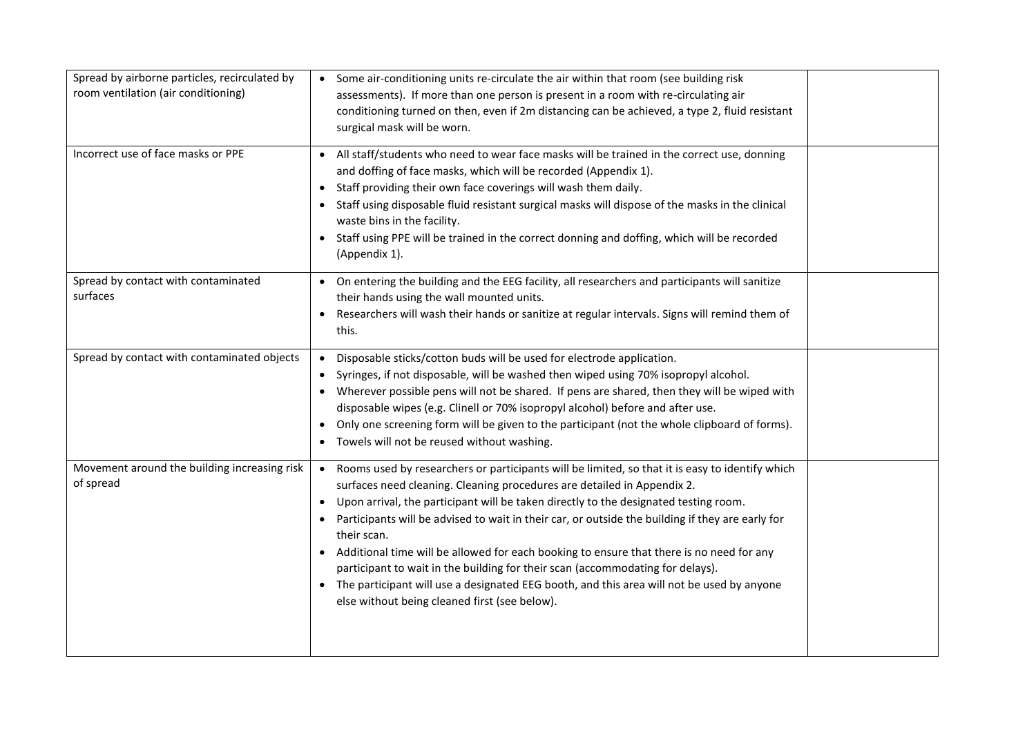| Spread by airborne particles, recirculated by<br>room ventilation (air conditioning) | Some air-conditioning units re-circulate the air within that room (see building risk<br>$\bullet$<br>assessments). If more than one person is present in a room with re-circulating air<br>conditioning turned on then, even if 2m distancing can be achieved, a type 2, fluid resistant<br>surgical mask will be worn.                                                                                                                                                                                                                                                                                                                                                                                                   |  |
|--------------------------------------------------------------------------------------|---------------------------------------------------------------------------------------------------------------------------------------------------------------------------------------------------------------------------------------------------------------------------------------------------------------------------------------------------------------------------------------------------------------------------------------------------------------------------------------------------------------------------------------------------------------------------------------------------------------------------------------------------------------------------------------------------------------------------|--|
| Incorrect use of face masks or PPE                                                   | • All staff/students who need to wear face masks will be trained in the correct use, donning<br>and doffing of face masks, which will be recorded (Appendix 1).<br>• Staff providing their own face coverings will wash them daily.<br>• Staff using disposable fluid resistant surgical masks will dispose of the masks in the clinical<br>waste bins in the facility.<br>• Staff using PPE will be trained in the correct donning and doffing, which will be recorded<br>(Appendix 1).                                                                                                                                                                                                                                  |  |
| Spread by contact with contaminated<br>surfaces                                      | • On entering the building and the EEG facility, all researchers and participants will sanitize<br>their hands using the wall mounted units.<br>Researchers will wash their hands or sanitize at regular intervals. Signs will remind them of<br>this.                                                                                                                                                                                                                                                                                                                                                                                                                                                                    |  |
| Spread by contact with contaminated objects                                          | • Disposable sticks/cotton buds will be used for electrode application.<br>• Syringes, if not disposable, will be washed then wiped using 70% isopropyl alcohol.<br>• Wherever possible pens will not be shared. If pens are shared, then they will be wiped with<br>disposable wipes (e.g. Clinell or 70% isopropyl alcohol) before and after use.<br>• Only one screening form will be given to the participant (not the whole clipboard of forms).<br>• Towels will not be reused without washing.                                                                                                                                                                                                                     |  |
| Movement around the building increasing risk<br>of spread                            | • Rooms used by researchers or participants will be limited, so that it is easy to identify which<br>surfaces need cleaning. Cleaning procedures are detailed in Appendix 2.<br>• Upon arrival, the participant will be taken directly to the designated testing room.<br>Participants will be advised to wait in their car, or outside the building if they are early for<br>their scan.<br>• Additional time will be allowed for each booking to ensure that there is no need for any<br>participant to wait in the building for their scan (accommodating for delays).<br>• The participant will use a designated EEG booth, and this area will not be used by anyone<br>else without being cleaned first (see below). |  |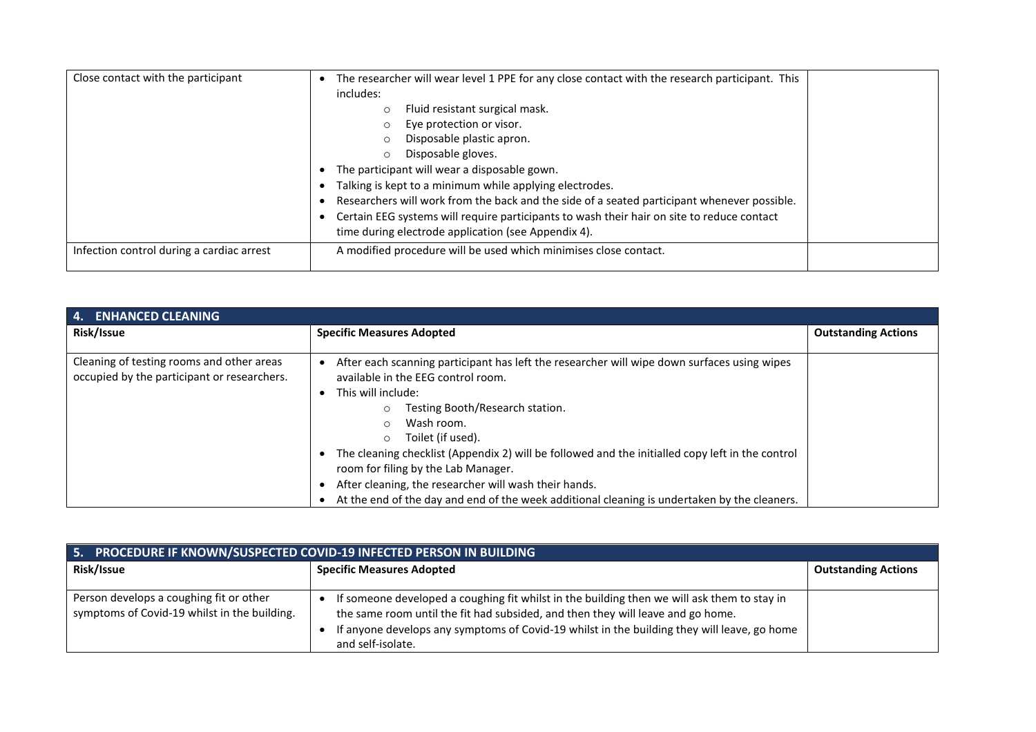| Close contact with the participant        | The researcher will wear level 1 PPE for any close contact with the research participant. This<br>includes:<br>Fluid resistant surgical mask.<br>O<br>Eye protection or visor.<br>$\circ$<br>Disposable plastic apron.<br>Disposable gloves.<br>O<br>The participant will wear a disposable gown.<br>Talking is kept to a minimum while applying electrodes.<br>Researchers will work from the back and the side of a seated participant whenever possible. |  |
|-------------------------------------------|-------------------------------------------------------------------------------------------------------------------------------------------------------------------------------------------------------------------------------------------------------------------------------------------------------------------------------------------------------------------------------------------------------------------------------------------------------------|--|
|                                           | Certain EEG systems will require participants to wash their hair on site to reduce contact<br>time during electrode application (see Appendix 4).                                                                                                                                                                                                                                                                                                           |  |
| Infection control during a cardiac arrest | A modified procedure will be used which minimises close contact.                                                                                                                                                                                                                                                                                                                                                                                            |  |

| 4. ENHANCED CLEANING                                                                     |                                                                                                                                                                                                                                                                                                                                                                                                                                                                                                                                                                       |                            |
|------------------------------------------------------------------------------------------|-----------------------------------------------------------------------------------------------------------------------------------------------------------------------------------------------------------------------------------------------------------------------------------------------------------------------------------------------------------------------------------------------------------------------------------------------------------------------------------------------------------------------------------------------------------------------|----------------------------|
| Risk/Issue                                                                               | <b>Specific Measures Adopted</b>                                                                                                                                                                                                                                                                                                                                                                                                                                                                                                                                      | <b>Outstanding Actions</b> |
| Cleaning of testing rooms and other areas<br>occupied by the participant or researchers. | After each scanning participant has left the researcher will wipe down surfaces using wipes<br>available in the EEG control room.<br>This will include:<br>Testing Booth/Research station.<br>$\circ$<br>Wash room.<br>$\bigcirc$<br>Toilet (if used).<br>$\circ$<br>The cleaning checklist (Appendix 2) will be followed and the initialled copy left in the control<br>room for filing by the Lab Manager.<br>After cleaning, the researcher will wash their hands.<br>At the end of the day and end of the week additional cleaning is undertaken by the cleaners. |                            |

| 5. PROCEDURE IF KNOWN/SUSPECTED COVID-19 INFECTED PERSON IN BUILDING                    |                                                                                                                                                                                                                                                                                                    |                            |
|-----------------------------------------------------------------------------------------|----------------------------------------------------------------------------------------------------------------------------------------------------------------------------------------------------------------------------------------------------------------------------------------------------|----------------------------|
| Risk/Issue                                                                              | <b>Specific Measures Adopted</b>                                                                                                                                                                                                                                                                   | <b>Outstanding Actions</b> |
| Person develops a coughing fit or other<br>symptoms of Covid-19 whilst in the building. | If someone developed a coughing fit whilst in the building then we will ask them to stay in<br>the same room until the fit had subsided, and then they will leave and go home.<br>If anyone develops any symptoms of Covid-19 whilst in the building they will leave, go home<br>and self-isolate. |                            |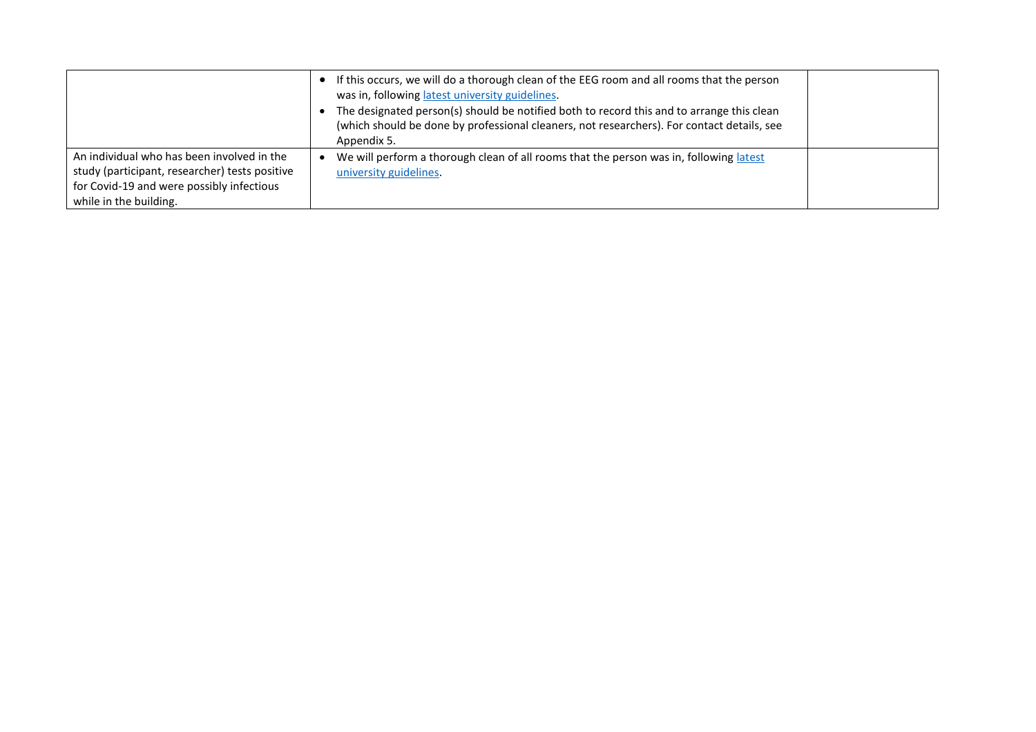|                                                                                                                                                                     | If this occurs, we will do a thorough clean of the EEG room and all rooms that the person<br>was in, following latest university guidelines.<br>The designated person(s) should be notified both to record this and to arrange this clean<br>(which should be done by professional cleaners, not researchers). For contact details, see<br>Appendix 5. |  |
|---------------------------------------------------------------------------------------------------------------------------------------------------------------------|--------------------------------------------------------------------------------------------------------------------------------------------------------------------------------------------------------------------------------------------------------------------------------------------------------------------------------------------------------|--|
| An individual who has been involved in the<br>study (participant, researcher) tests positive<br>for Covid-19 and were possibly infectious<br>while in the building. | We will perform a thorough clean of all rooms that the person was in, following latest<br>university guidelines.                                                                                                                                                                                                                                       |  |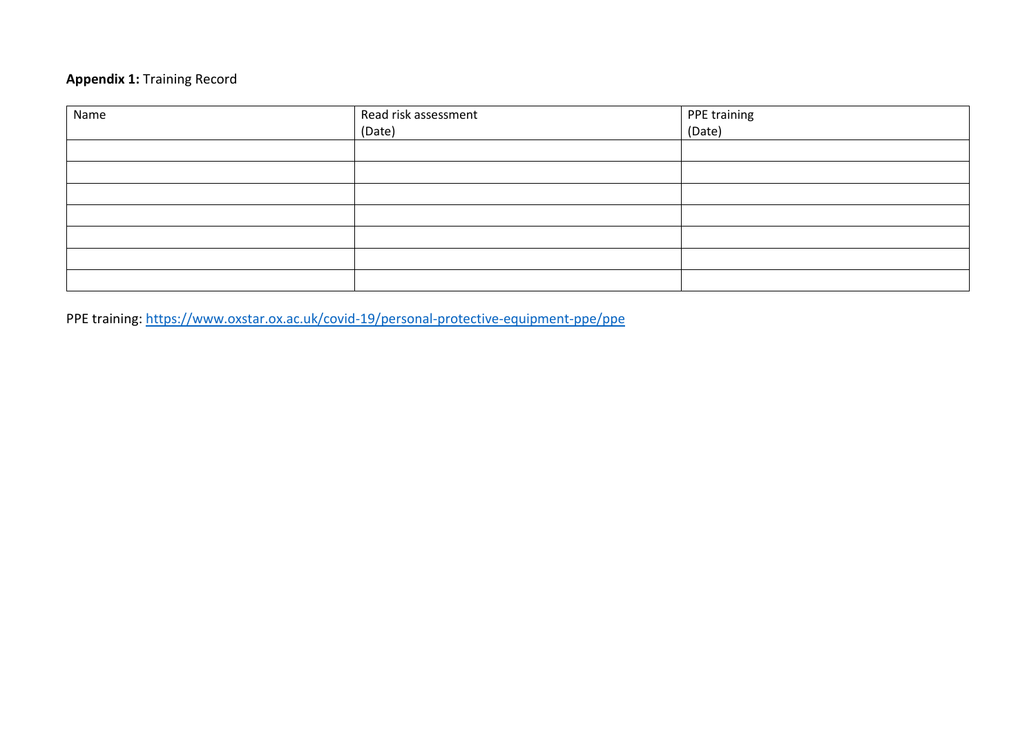## **Appendix 1:** Training Record

| Name | Read risk assessment | PPE training<br>(Date) |
|------|----------------------|------------------------|
|      | (Date)               |                        |
|      |                      |                        |
|      |                      |                        |
|      |                      |                        |
|      |                      |                        |
|      |                      |                        |
|      |                      |                        |
|      |                      |                        |

PPE training:<https://www.oxstar.ox.ac.uk/covid-19/personal-protective-equipment-ppe/ppe>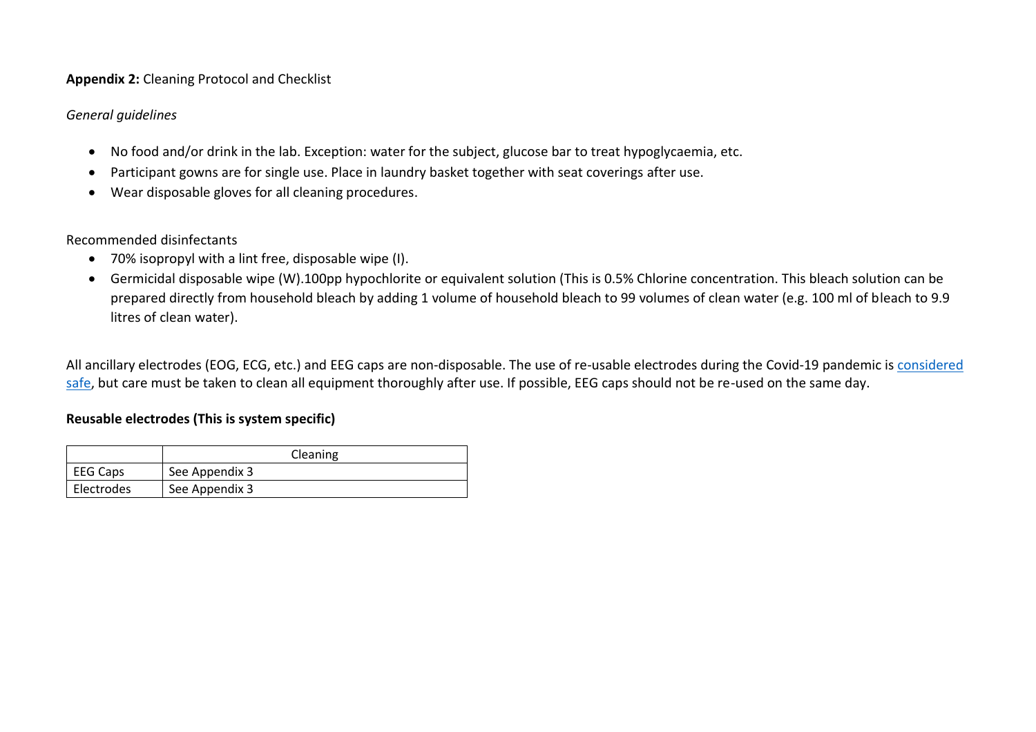#### **Appendix 2:** Cleaning Protocol and Checklist

#### *General guidelines*

- No food and/or drink in the lab. Exception: water for the subject, glucose bar to treat hypoglycaemia, etc.
- Participant gowns are for single use. Place in laundry basket together with seat coverings after use.
- Wear disposable gloves for all cleaning procedures.

Recommended disinfectants

- 70% isopropyl with a lint free, disposable wipe (I).
- Germicidal disposable wipe (W).100pp hypochlorite or equivalent solution (This is 0.5% Chlorine concentration. This bleach solution can be prepared directly from household bleach by adding 1 volume of household bleach to 99 volumes of clean water (e.g. 100 ml of bleach to 9.9 litres of clean water).

All ancillary electrodes (EOG, ECG, etc.) and EEG caps are non-disposable. The use of re-usable electrodes during the Covid-19 pandemic is [considered](https://doi.org/10.1016/j.clinph.2020.04.007)  [safe,](https://doi.org/10.1016/j.clinph.2020.04.007) but care must be taken to clean all equipment thoroughly after use. If possible, EEG caps should not be re-used on the same day.

#### **Reusable electrodes (This is system specific)**

|                 | Cleaning       |
|-----------------|----------------|
| <b>EEG Caps</b> | See Appendix 3 |
| Electrodes      | See Appendix 3 |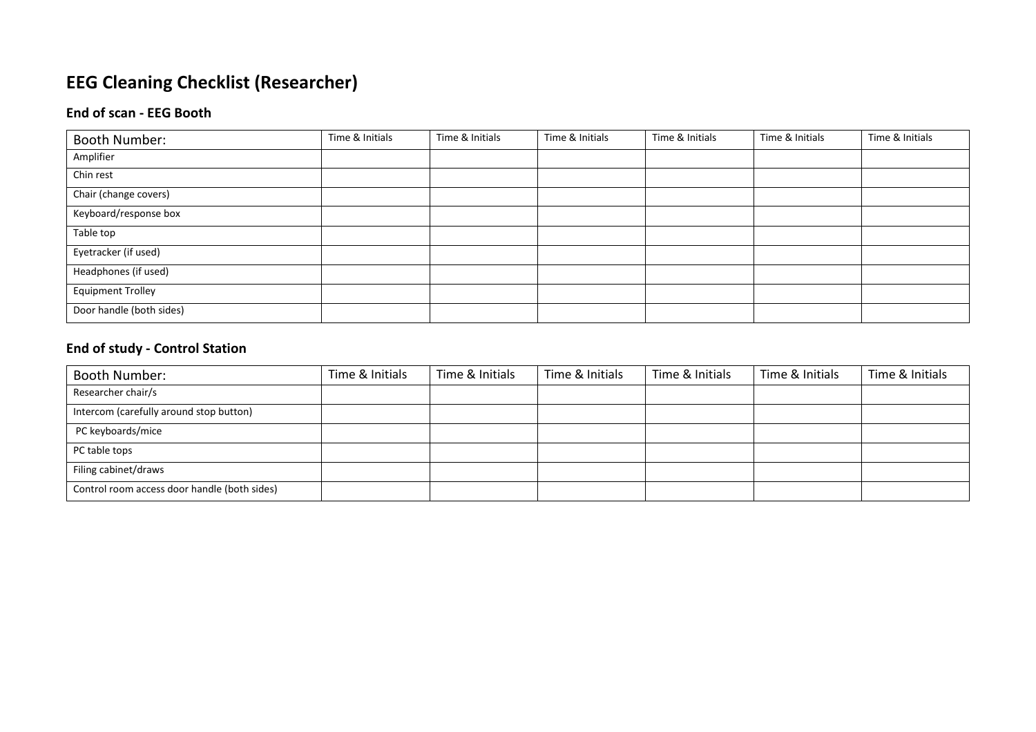# **EEG Cleaning Checklist (Researcher)**

## **End of scan - EEG Booth**

| Booth Number:            | Time & Initials | Time & Initials | Time & Initials | Time & Initials | Time & Initials | Time & Initials |
|--------------------------|-----------------|-----------------|-----------------|-----------------|-----------------|-----------------|
| Amplifier                |                 |                 |                 |                 |                 |                 |
| Chin rest                |                 |                 |                 |                 |                 |                 |
| Chair (change covers)    |                 |                 |                 |                 |                 |                 |
| Keyboard/response box    |                 |                 |                 |                 |                 |                 |
| Table top                |                 |                 |                 |                 |                 |                 |
| Eyetracker (if used)     |                 |                 |                 |                 |                 |                 |
| Headphones (if used)     |                 |                 |                 |                 |                 |                 |
| <b>Equipment Trolley</b> |                 |                 |                 |                 |                 |                 |
| Door handle (both sides) |                 |                 |                 |                 |                 |                 |

## **End of study - Control Station**

| Booth Number:                                | Time & Initials | Time & Initials | Time & Initials | Time & Initials | Time & Initials | Time & Initials |
|----------------------------------------------|-----------------|-----------------|-----------------|-----------------|-----------------|-----------------|
| Researcher chair/s                           |                 |                 |                 |                 |                 |                 |
| Intercom (carefully around stop button)      |                 |                 |                 |                 |                 |                 |
| PC keyboards/mice                            |                 |                 |                 |                 |                 |                 |
| PC table tops                                |                 |                 |                 |                 |                 |                 |
| Filing cabinet/draws                         |                 |                 |                 |                 |                 |                 |
| Control room access door handle (both sides) |                 |                 |                 |                 |                 |                 |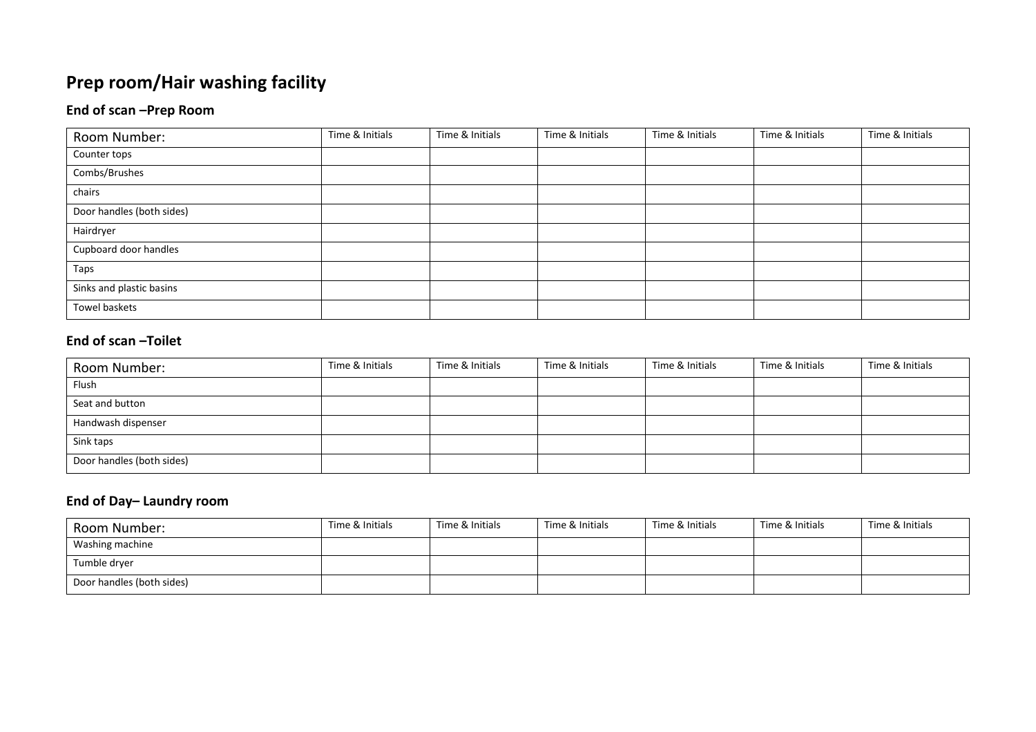# **Prep room/Hair washing facility**

## **End of scan –Prep Room**

| Room Number:              | Time & Initials | Time & Initials | Time & Initials | Time & Initials | Time & Initials | Time & Initials |
|---------------------------|-----------------|-----------------|-----------------|-----------------|-----------------|-----------------|
| Counter tops              |                 |                 |                 |                 |                 |                 |
| Combs/Brushes             |                 |                 |                 |                 |                 |                 |
| chairs                    |                 |                 |                 |                 |                 |                 |
| Door handles (both sides) |                 |                 |                 |                 |                 |                 |
| Hairdryer                 |                 |                 |                 |                 |                 |                 |
| Cupboard door handles     |                 |                 |                 |                 |                 |                 |
| Taps                      |                 |                 |                 |                 |                 |                 |
| Sinks and plastic basins  |                 |                 |                 |                 |                 |                 |
| Towel baskets             |                 |                 |                 |                 |                 |                 |

## **End of scan –Toilet**

| Room Number:              | Time & Initials | Time & Initials | Time & Initials | Time & Initials | Time & Initials | Time & Initials |
|---------------------------|-----------------|-----------------|-----------------|-----------------|-----------------|-----------------|
| Flush                     |                 |                 |                 |                 |                 |                 |
| Seat and button           |                 |                 |                 |                 |                 |                 |
| Handwash dispenser        |                 |                 |                 |                 |                 |                 |
| Sink taps                 |                 |                 |                 |                 |                 |                 |
| Door handles (both sides) |                 |                 |                 |                 |                 |                 |

## **End of Day– Laundry room**

| Room Number:              | Time & Initials | Time & Initials | Time & Initials | Time & Initials | Time & Initials | Time & Initials |
|---------------------------|-----------------|-----------------|-----------------|-----------------|-----------------|-----------------|
| Washing machine           |                 |                 |                 |                 |                 |                 |
| Tumble dryer              |                 |                 |                 |                 |                 |                 |
| Door handles (both sides) |                 |                 |                 |                 |                 |                 |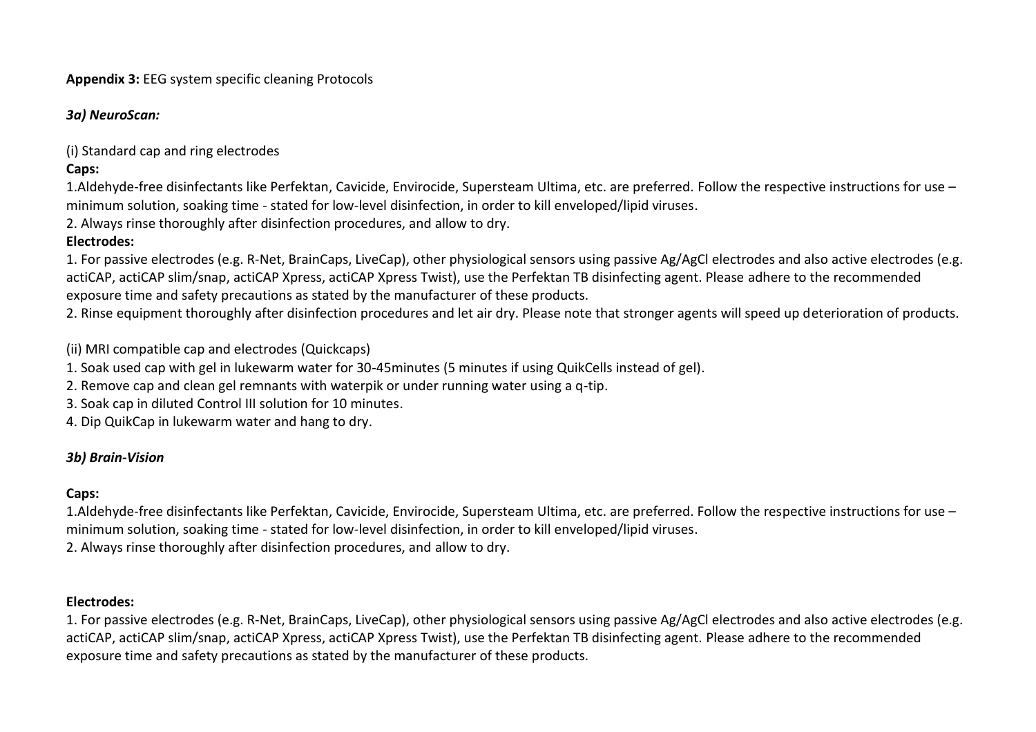**Appendix 3:** EEG system specific cleaning Protocols

*3a) NeuroScan:*

(i) Standard cap and ring electrodes

**Caps:**

1.Aldehyde-free disinfectants like Perfektan, Cavicide, Envirocide, Supersteam Ultima, etc. are preferred. Follow the respective instructions for use – minimum solution, soaking time - stated for low-level disinfection, in order to kill enveloped/lipid viruses.

2. Always rinse thoroughly after disinfection procedures, and allow to dry.

### **Electrodes:**

1. For passive electrodes (e.g. R-Net, BrainCaps, LiveCap), other physiological sensors using passive Ag/AgCl electrodes and also active electrodes (e.g. actiCAP, actiCAP slim/snap, actiCAP Xpress, actiCAP Xpress Twist), use the Perfektan TB disinfecting agent. Please adhere to the recommended exposure time and safety precautions as stated by the manufacturer of these products.

2. Rinse equipment thoroughly after disinfection procedures and let air dry. Please note that stronger agents will speed up deterioration of products.

(ii) MRI compatible cap and electrodes (Quickcaps)

1. Soak used cap with gel in lukewarm water for 30-45minutes (5 minutes if using QuikCells instead of gel).

- 2. Remove cap and clean gel remnants with waterpik or under running water using a q-tip.
- 3. Soak cap in diluted Control III solution for 10 minutes.
- 4. Dip QuikCap in lukewarm water and hang to dry.

### *3b) Brain-Vision*

#### **Caps:**

1.Aldehyde-free disinfectants like Perfektan, Cavicide, Envirocide, Supersteam Ultima, etc. are preferred. Follow the respective instructions for use – minimum solution, soaking time - stated for low-level disinfection, in order to kill enveloped/lipid viruses. 2. Always rinse thoroughly after disinfection procedures, and allow to dry.

### **Electrodes:**

1. For passive electrodes (e.g. R-Net, BrainCaps, LiveCap), other physiological sensors using passive Ag/AgCl electrodes and also active electrodes (e.g. actiCAP, actiCAP slim/snap, actiCAP Xpress, actiCAP Xpress Twist), use the Perfektan TB disinfecting agent. Please adhere to the recommended exposure time and safety precautions as stated by the manufacturer of these products.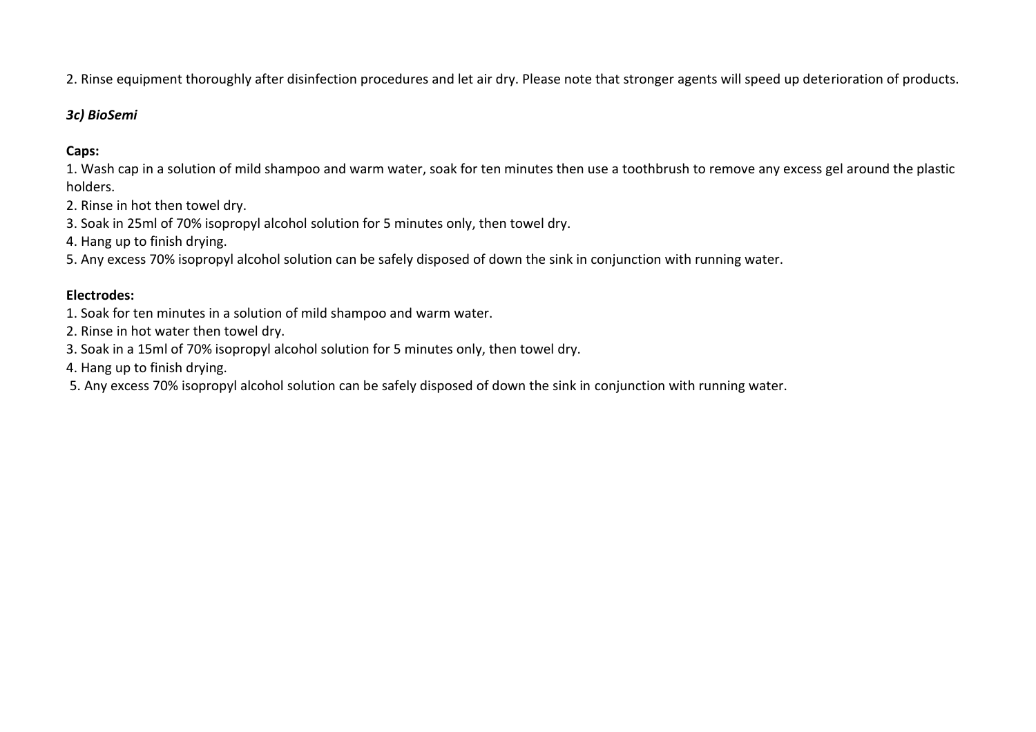2. Rinse equipment thoroughly after disinfection procedures and let air dry. Please note that stronger agents will speed up deterioration of products.

#### *3c) BioSemi*

## **Caps:**

1. Wash cap in a solution of mild shampoo and warm water, soak for ten minutes then use a toothbrush to remove any excess gel around the plastic holders.

- 2. Rinse in hot then towel dry.
- 3. Soak in 25ml of 70% isopropyl alcohol solution for 5 minutes only, then towel dry.
- 4. Hang up to finish drying.

5. Any excess 70% isopropyl alcohol solution can be safely disposed of down the sink in conjunction with running water.

#### **Electrodes:**

- 1. Soak for ten minutes in a solution of mild shampoo and warm water.
- 2. Rinse in hot water then towel dry.
- 3. Soak in a 15ml of 70% isopropyl alcohol solution for 5 minutes only, then towel dry.
- 4. Hang up to finish drying.

5. Any excess 70% isopropyl alcohol solution can be safely disposed of down the sink in conjunction with running water.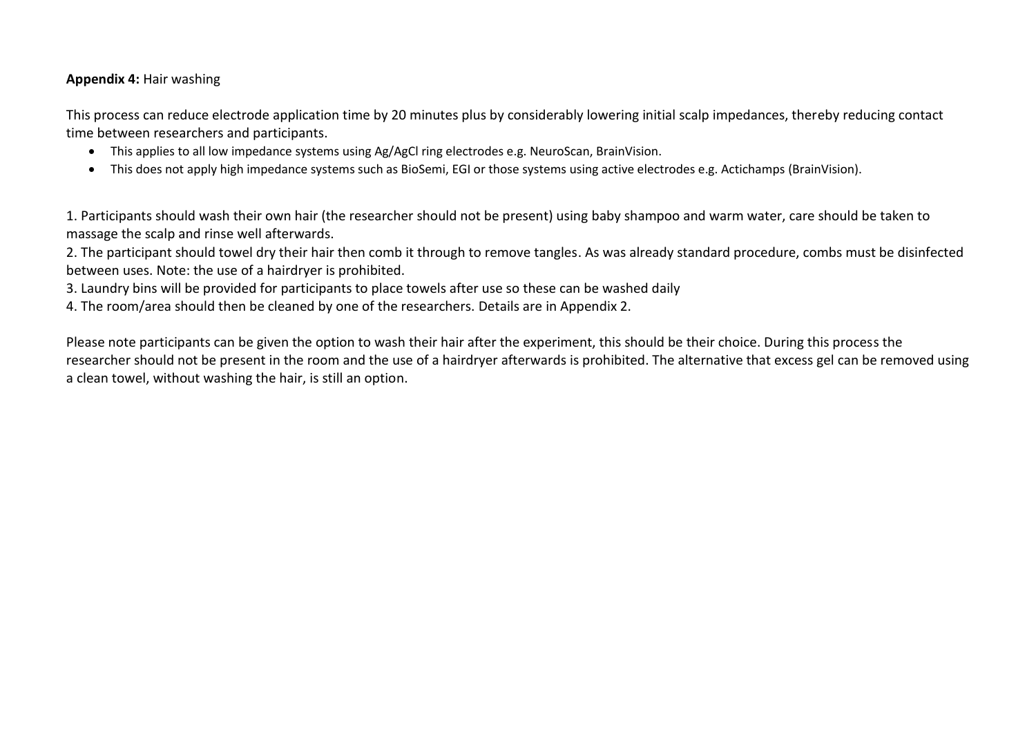#### **Appendix 4:** Hair washing

This process can reduce electrode application time by 20 minutes plus by considerably lowering initial scalp impedances, thereby reducing contact time between researchers and participants.

- This applies to all low impedance systems using Ag/AgCl ring electrodes e.g. NeuroScan, BrainVision.
- This does not apply high impedance systems such as BioSemi, EGI or those systems using active electrodes e.g. Actichamps (BrainVision).

1. Participants should wash their own hair (the researcher should not be present) using baby shampoo and warm water, care should be taken to massage the scalp and rinse well afterwards.

2. The participant should towel dry their hair then comb it through to remove tangles. As was already standard procedure, combs must be disinfected between uses. Note: the use of a hairdryer is prohibited.

3. Laundry bins will be provided for participants to place towels after use so these can be washed daily

4. The room/area should then be cleaned by one of the researchers. Details are in Appendix 2.

Please note participants can be given the option to wash their hair after the experiment, this should be their choice. During this process the researcher should not be present in the room and the use of a hairdryer afterwards is prohibited. The alternative that excess gel can be removed using a clean towel, without washing the hair, is still an option.